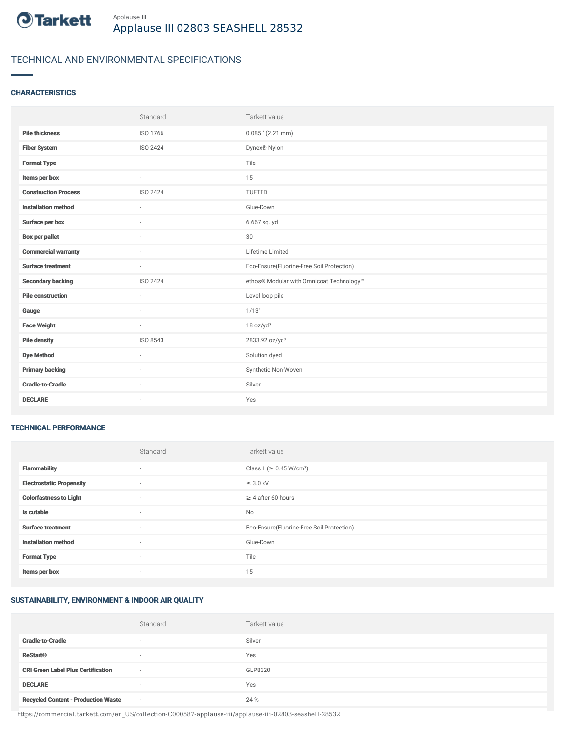

# TECHNICAL AND ENVIRONMENTAL SPECIFICATIONS

### **CHARACTERISTICS**

|                             | Standard        | Tarkett value                             |
|-----------------------------|-----------------|-------------------------------------------|
| <b>Pile thickness</b>       | ISO 1766        | $0.085$ " (2.21 mm)                       |
| <b>Fiber System</b>         | ISO 2424        | Dynex® Nylon                              |
| <b>Format Type</b>          | ۰               | Tile                                      |
| Items per box               |                 | 15                                        |
| <b>Construction Process</b> | <b>ISO 2424</b> | TUFTED                                    |
| <b>Installation method</b>  | ÷               | Glue-Down                                 |
| Surface per box             | $\sim$          | 6.667 sq. yd                              |
| <b>Box per pallet</b>       | ×.              | 30                                        |
| <b>Commercial warranty</b>  |                 | Lifetime Limited                          |
|                             |                 |                                           |
| <b>Surface treatment</b>    | $\sim$          | Eco-Ensure(Fluorine-Free Soil Protection) |
| <b>Secondary backing</b>    | ISO 2424        | ethos® Modular with Omnicoat Technology™  |
| <b>Pile construction</b>    | $\sim$          | Level loop pile                           |
| Gauge                       | $\sim$          | 1/13"                                     |
| <b>Face Weight</b>          | $\sim$          | 18 oz/yd <sup>2</sup>                     |
| <b>Pile density</b>         | ISO 8543        | 2833.92 oz/yd <sup>3</sup>                |
| <b>Dye Method</b>           | $\sim$          | Solution dyed                             |
| <b>Primary backing</b>      | $\sim$          | Synthetic Non-Woven                       |
| <b>Cradle-to-Cradle</b>     |                 | Silver                                    |

#### TECHNICAL PERFORMANCE

|                                 | Standard                 | Tarkett value                             |
|---------------------------------|--------------------------|-------------------------------------------|
| <b>Flammability</b>             | ٠                        | Class 1 (≥ 0.45 W/cm <sup>2</sup> )       |
| <b>Electrostatic Propensity</b> | $\sim$                   | $\leq$ 3.0 kV                             |
| <b>Colorfastness to Light</b>   | ٠                        | $\geq 4$ after 60 hours                   |
| Is cutable                      | ٠                        | No                                        |
| <b>Surface treatment</b>        | ٠                        | Eco-Ensure(Fluorine-Free Soil Protection) |
| <b>Installation method</b>      | ٠                        | Glue-Down                                 |
| <b>Format Type</b>              | $\sim$                   | Tile                                      |
| Items per box                   | $\overline{\phantom{a}}$ | 15                                        |

## SUSTAINABILITY, ENVIRONMENT & INDOOR AIR QUALITY

|                                            | Standard                 | Tarkett value |
|--------------------------------------------|--------------------------|---------------|
| <b>Cradle-to-Cradle</b>                    | $\overline{\phantom{a}}$ | Silver        |
| <b>ReStart®</b>                            | $\overline{\phantom{a}}$ | Yes           |
| <b>CRI Green Label Plus Certification</b>  | $\sim$                   | GLP8320       |
| <b>DECLARE</b>                             | $\sim$                   | Yes           |
| <b>Recycled Content - Production Waste</b> | $\sim$                   | 24 %          |

https://commercial.tarkett.com/en\_US/collection-C000587-applause-iii/applause-iii-02803-seashell-28532